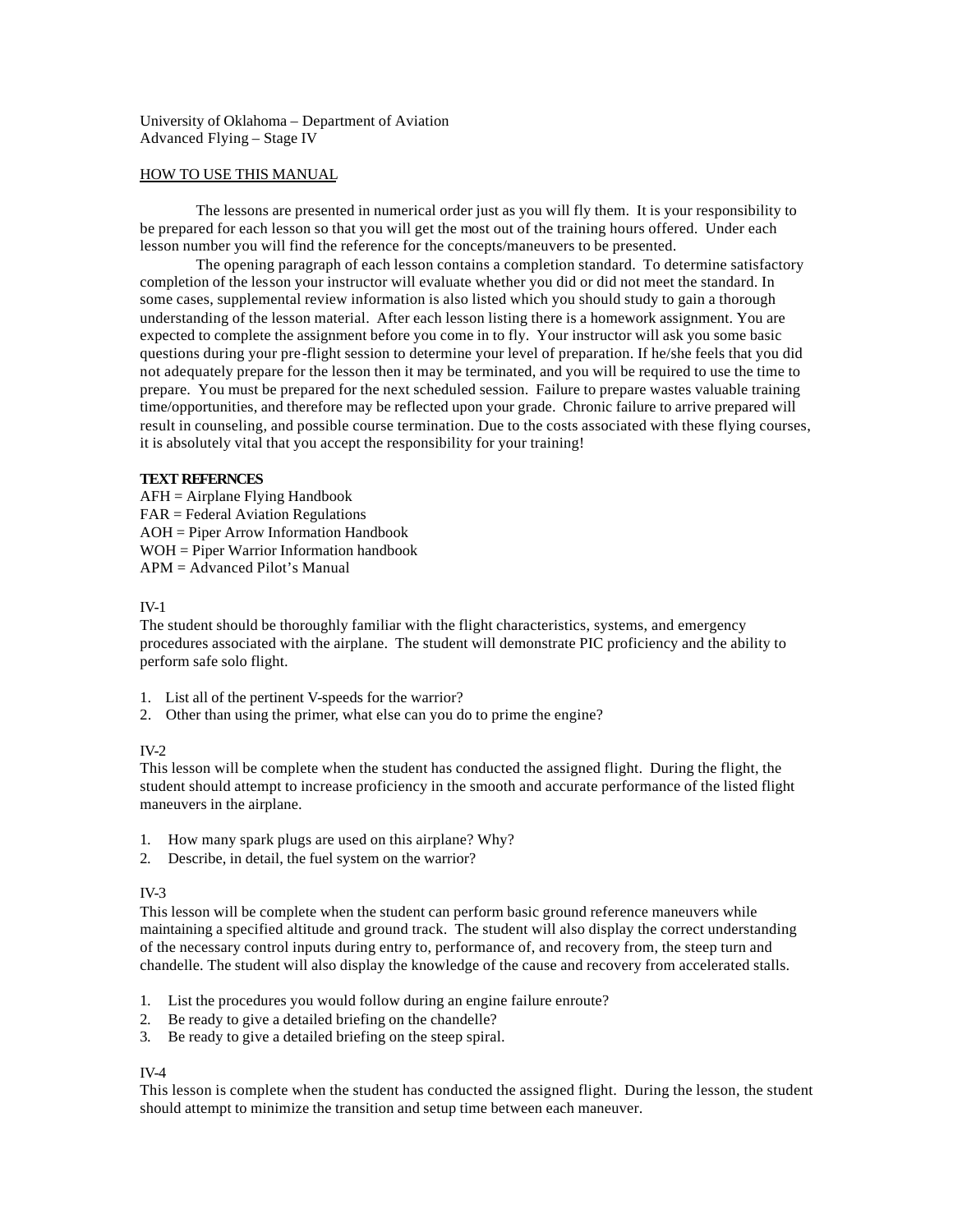University of Oklahoma – Department of Aviation Advanced Flying – Stage IV

### HOW TO USE THIS MANUAL

The lessons are presented in numerical order just as you will fly them. It is your responsibility to be prepared for each lesson so that you will get the most out of the training hours offered. Under each lesson number you will find the reference for the concepts/maneuvers to be presented.

The opening paragraph of each lesson contains a completion standard. To determine satisfactory completion of the lesson your instructor will evaluate whether you did or did not meet the standard. In some cases, supplemental review information is also listed which you should study to gain a thorough understanding of the lesson material. After each lesson listing there is a homework assignment. You are expected to complete the assignment before you come in to fly. Your instructor will ask you some basic questions during your pre-flight session to determine your level of preparation. If he/she feels that you did not adequately prepare for the lesson then it may be terminated, and you will be required to use the time to prepare. You must be prepared for the next scheduled session. Failure to prepare wastes valuable training time/opportunities, and therefore may be reflected upon your grade. Chronic failure to arrive prepared will result in counseling, and possible course termination. Due to the costs associated with these flying courses, it is absolutely vital that you accept the responsibility for your training!

## **TEXT REFERNCES**

AFH = Airplane Flying Handbook FAR = Federal Aviation Regulations AOH = Piper Arrow Information Handbook WOH = Piper Warrior Information handbook APM = Advanced Pilot's Manual

### IV-1

The student should be thoroughly familiar with the flight characteristics, systems, and emergency procedures associated with the airplane. The student will demonstrate PIC proficiency and the ability to perform safe solo flight.

- 1. List all of the pertinent V-speeds for the warrior?
- 2. Other than using the primer, what else can you do to prime the engine?

#### IV-2

This lesson will be complete when the student has conducted the assigned flight. During the flight, the student should attempt to increase proficiency in the smooth and accurate performance of the listed flight maneuvers in the airplane.

- 1. How many spark plugs are used on this airplane? Why?
- 2. Describe, in detail, the fuel system on the warrior?

#### $IV-3$

This lesson will be complete when the student can perform basic ground reference maneuvers while maintaining a specified altitude and ground track. The student will also display the correct understanding of the necessary control inputs during entry to, performance of, and recovery from, the steep turn and chandelle. The student will also display the knowledge of the cause and recovery from accelerated stalls.

- 1. List the procedures you would follow during an engine failure enroute?
- 2. Be ready to give a detailed briefing on the chandelle?
- 3. Be ready to give a detailed briefing on the steep spiral.

#### IV-4

This lesson is complete when the student has conducted the assigned flight. During the lesson, the student should attempt to minimize the transition and setup time between each maneuver.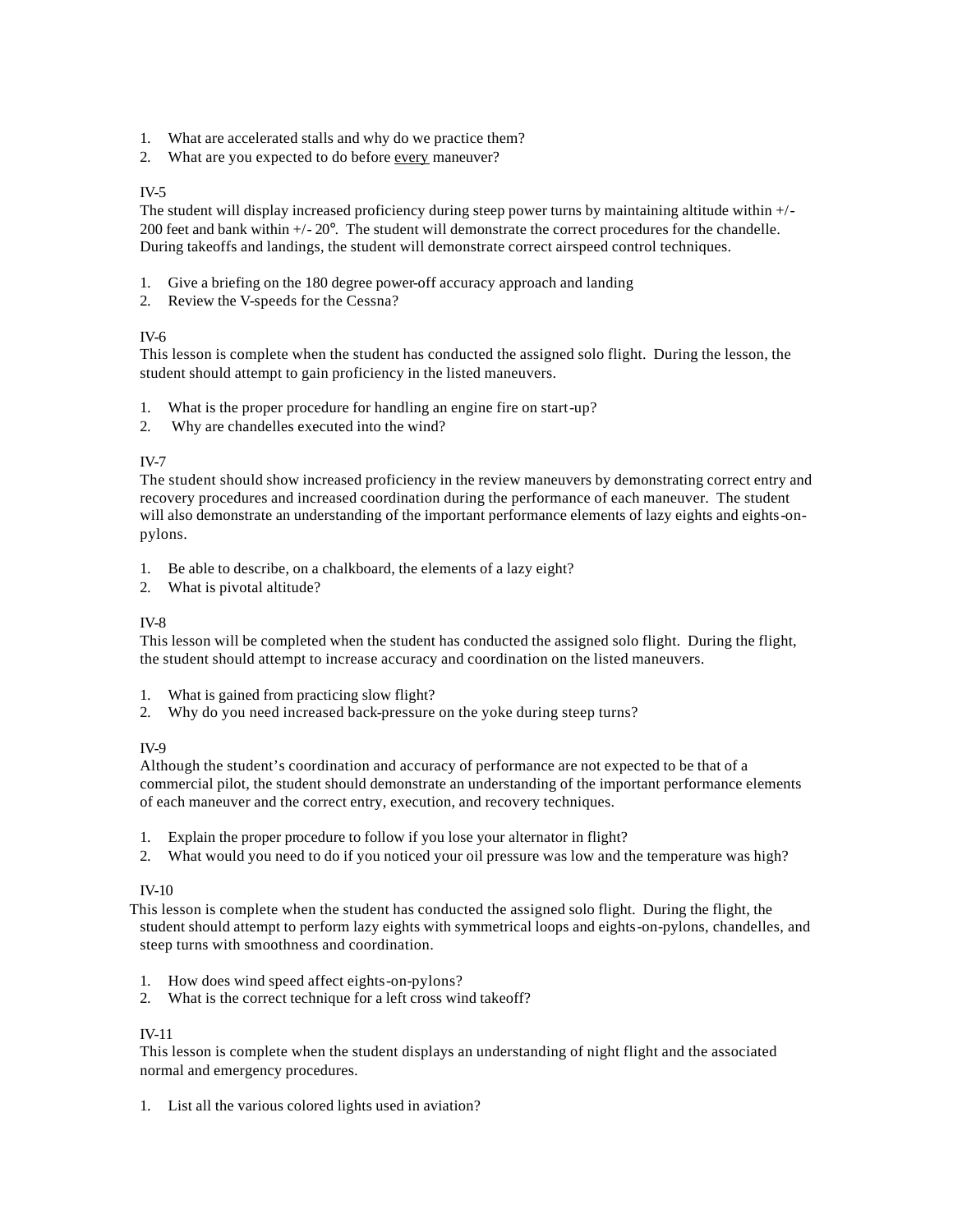- 1. What are accelerated stalls and why do we practice them?
- 2. What are you expected to do before every maneuver?

## IV-5

The student will display increased proficiency during steep power turns by maintaining altitude within +/- 200 feet and bank within +/- 20°. The student will demonstrate the correct procedures for the chandelle. During takeoffs and landings, the student will demonstrate correct airspeed control techniques.

- 1. Give a briefing on the 180 degree power-off accuracy approach and landing
- 2. Review the V-speeds for the Cessna?

## IV-6

This lesson is complete when the student has conducted the assigned solo flight. During the lesson, the student should attempt to gain proficiency in the listed maneuvers.

- 1. What is the proper procedure for handling an engine fire on start-up?
- 2. Why are chandelles executed into the wind?

## IV-7

The student should show increased proficiency in the review maneuvers by demonstrating correct entry and recovery procedures and increased coordination during the performance of each maneuver. The student will also demonstrate an understanding of the important performance elements of lazy eights and eights-onpylons.

- 1. Be able to describe, on a chalkboard, the elements of a lazy eight?
- 2. What is pivotal altitude?

### IV-8

This lesson will be completed when the student has conducted the assigned solo flight. During the flight, the student should attempt to increase accuracy and coordination on the listed maneuvers.

- 1. What is gained from practicing slow flight?
- 2. Why do you need increased back-pressure on the yoke during steep turns?

### IV-9

Although the student's coordination and accuracy of performance are not expected to be that of a commercial pilot, the student should demonstrate an understanding of the important performance elements of each maneuver and the correct entry, execution, and recovery techniques.

- 1. Explain the proper procedure to follow if you lose your alternator in flight?
- 2. What would you need to do if you noticed your oil pressure was low and the temperature was high?

### IV-10

 This lesson is complete when the student has conducted the assigned solo flight. During the flight, the student should attempt to perform lazy eights with symmetrical loops and eights-on-pylons, chandelles, and steep turns with smoothness and coordination.

- 1. How does wind speed affect eights-on-pylons?
- 2. What is the correct technique for a left cross wind takeoff?

### IV-11

This lesson is complete when the student displays an understanding of night flight and the associated normal and emergency procedures.

1. List all the various colored lights used in aviation?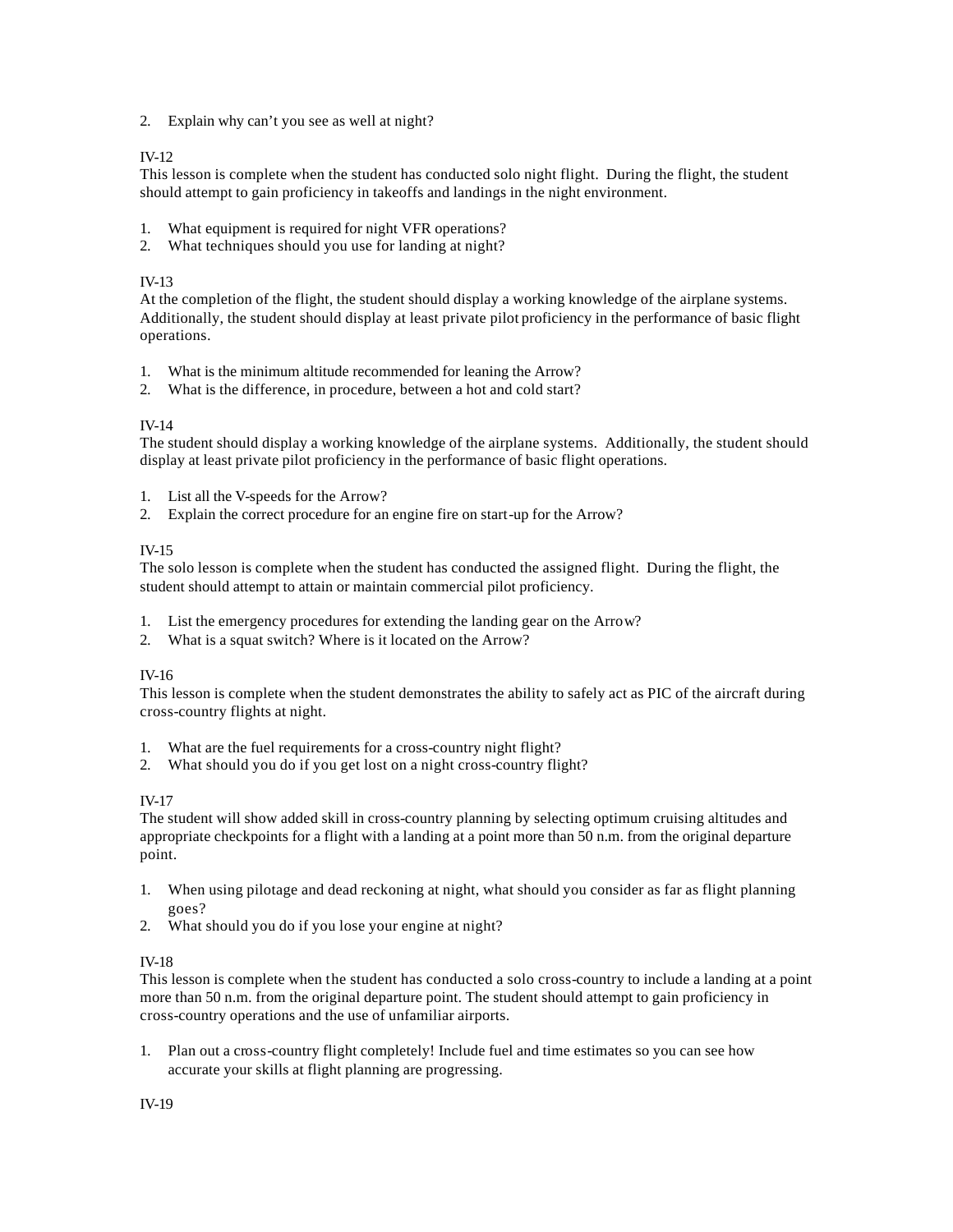2. Explain why can't you see as well at night?

# IV-12

This lesson is complete when the student has conducted solo night flight. During the flight, the student should attempt to gain proficiency in takeoffs and landings in the night environment.

- 1. What equipment is required for night VFR operations?
- 2. What techniques should you use for landing at night?

# IV-13

At the completion of the flight, the student should display a working knowledge of the airplane systems. Additionally, the student should display at least private pilot proficiency in the performance of basic flight operations.

- 1. What is the minimum altitude recommended for leaning the Arrow?
- 2. What is the difference, in procedure, between a hot and cold start?

# IV-14

The student should display a working knowledge of the airplane systems. Additionally, the student should display at least private pilot proficiency in the performance of basic flight operations.

- 1. List all the V-speeds for the Arrow?
- 2. Explain the correct procedure for an engine fire on start-up for the Arrow?

## IV-15

The solo lesson is complete when the student has conducted the assigned flight. During the flight, the student should attempt to attain or maintain commercial pilot proficiency.

- 1. List the emergency procedures for extending the landing gear on the Arrow?
- 2. What is a squat switch? Where is it located on the Arrow?

# IV-16

This lesson is complete when the student demonstrates the ability to safely act as PIC of the aircraft during cross-country flights at night.

- 1. What are the fuel requirements for a cross-country night flight?
- 2. What should you do if you get lost on a night cross-country flight?

# IV-17

The student will show added skill in cross-country planning by selecting optimum cruising altitudes and appropriate checkpoints for a flight with a landing at a point more than 50 n.m. from the original departure point.

- 1. When using pilotage and dead reckoning at night, what should you consider as far as flight planning goes?
- 2. What should you do if you lose your engine at night?

# IV-18

This lesson is complete when the student has conducted a solo cross-country to include a landing at a point more than 50 n.m. from the original departure point. The student should attempt to gain proficiency in cross-country operations and the use of unfamiliar airports.

1. Plan out a cross-country flight completely! Include fuel and time estimates so you can see how accurate your skills at flight planning are progressing.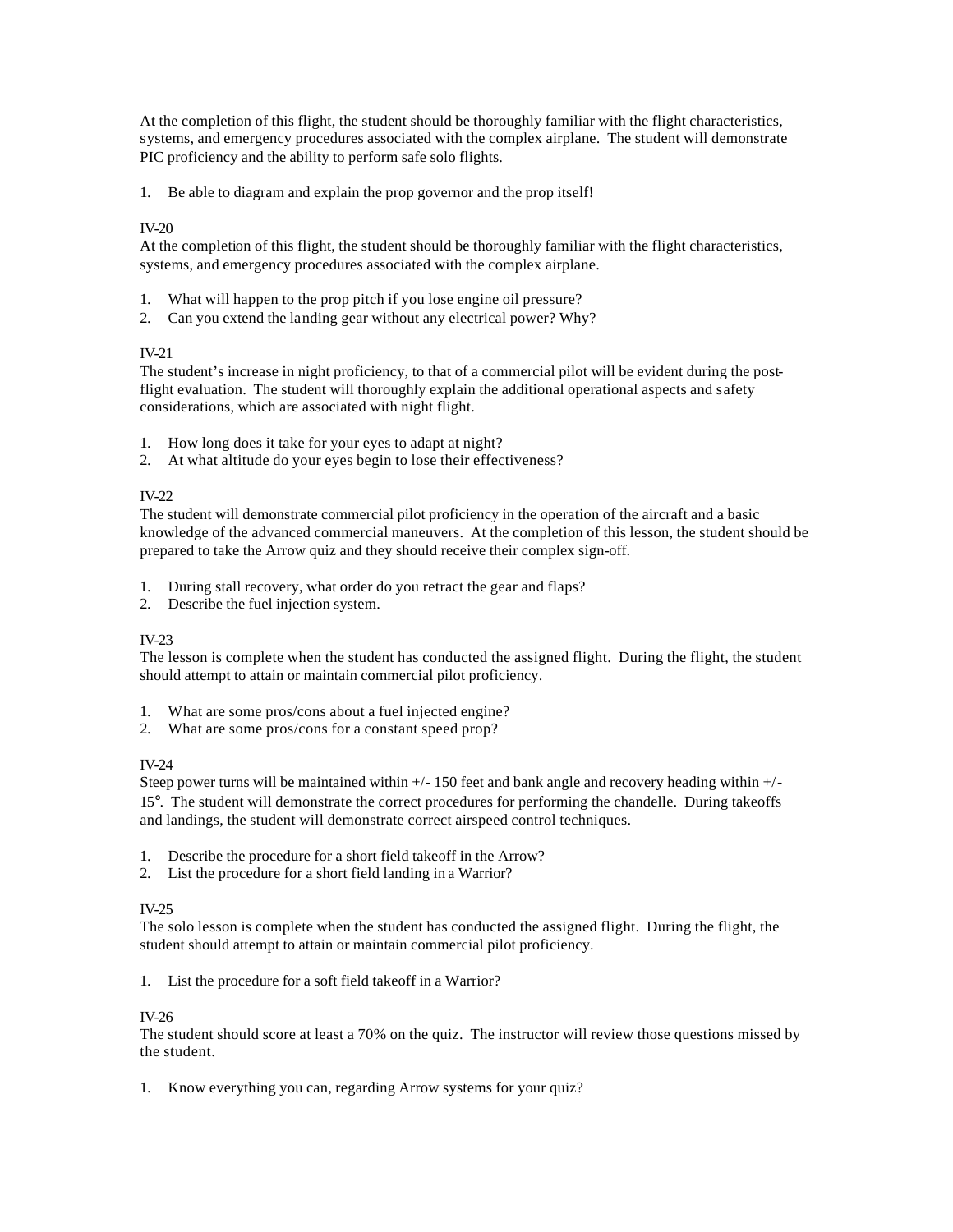At the completion of this flight, the student should be thoroughly familiar with the flight characteristics, systems, and emergency procedures associated with the complex airplane. The student will demonstrate PIC proficiency and the ability to perform safe solo flights.

1. Be able to diagram and explain the prop governor and the prop itself!

## IV-20

At the completion of this flight, the student should be thoroughly familiar with the flight characteristics, systems, and emergency procedures associated with the complex airplane.

- 1. What will happen to the prop pitch if you lose engine oil pressure?
- 2. Can you extend the landing gear without any electrical power? Why?

## IV-21

The student's increase in night proficiency, to that of a commercial pilot will be evident during the postflight evaluation. The student will thoroughly explain the additional operational aspects and safety considerations, which are associated with night flight.

- 1. How long does it take for your eyes to adapt at night?
- 2. At what altitude do your eyes begin to lose their effectiveness?

## IV-22

The student will demonstrate commercial pilot proficiency in the operation of the aircraft and a basic knowledge of the advanced commercial maneuvers. At the completion of this lesson, the student should be prepared to take the Arrow quiz and they should receive their complex sign-off.

- 1. During stall recovery, what order do you retract the gear and flaps?
- 2. Describe the fuel injection system.

### IV-23

The lesson is complete when the student has conducted the assigned flight. During the flight, the student should attempt to attain or maintain commercial pilot proficiency.

- 1. What are some pros/cons about a fuel injected engine?
- 2. What are some pros/cons for a constant speed prop?

# IV-24

Steep power turns will be maintained within  $+/-150$  feet and bank angle and recovery heading within  $+/-$ 15°. The student will demonstrate the correct procedures for performing the chandelle. During takeoffs and landings, the student will demonstrate correct airspeed control techniques.

- 1. Describe the procedure for a short field takeoff in the Arrow?
- 2. List the procedure for a short field landing in a Warrior?

# IV-25

The solo lesson is complete when the student has conducted the assigned flight. During the flight, the student should attempt to attain or maintain commercial pilot proficiency.

### 1. List the procedure for a soft field takeoff in a Warrior?

### IV-26

The student should score at least a 70% on the quiz. The instructor will review those questions missed by the student.

1. Know everything you can, regarding Arrow systems for your quiz?